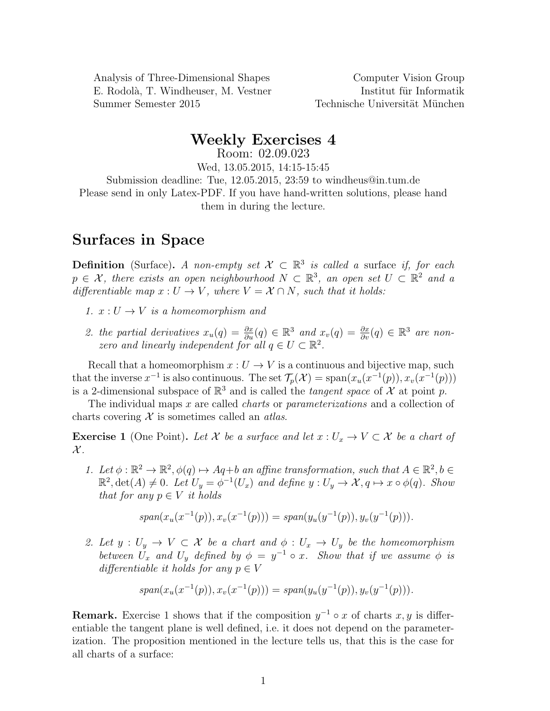Analysis of Three-Dimensional Shapes Computer Vision Group E. Rodolà, T. Windheuser, M. Vestner Institut für Informatik Summer Semester 2015 Technische Universität München

## Weekly Exercises 4

Room: 02.09.023 Wed, 13.05.2015, 14:15-15:45 Submission deadline: Tue, 12.05.2015, 23:59 to windheus@in.tum.de Please send in only Latex-PDF. If you have hand-written solutions, please hand them in during the lecture.

## Surfaces in Space

**Definition** (Surface). A non-empty set  $\mathcal{X} \subset \mathbb{R}^3$  is called a surface if, for each  $p \in \mathcal{X}$ , there exists an open neighbourhood  $N \subset \mathbb{R}^3$ , an open set  $U \subset \mathbb{R}^2$  and a differentiable map  $x: U \to V$ , where  $V = \mathcal{X} \cap N$ , such that it holds:

- 1.  $x: U \to V$  is a homeomorphism and
- 2. the partial derivatives  $x_u(q) = \frac{\partial x}{\partial u}(q) \in \mathbb{R}^3$  and  $x_v(q) = \frac{\partial x}{\partial v}(q) \in \mathbb{R}^3$  are nonzero and linearly independent for all  $q \in U \subset \mathbb{R}^2$ .

Recall that a homeomorphism  $x: U \to V$  is a continuous and bijective map, such that the inverse  $x^{-1}$  is also continuous. The set  $\mathcal{T}_p(\mathcal{X}) = \text{span}(x_u(x^{-1}(p)), x_v(x^{-1}(p)))$ is a 2-dimensional subspace of  $\mathbb{R}^3$  and is called the *tangent space* of  $\mathcal{X}$  at point p.

The individual maps x are called *charts* or *parameterizations* and a collection of charts covering  $X$  is sometimes called an *atlas*.

**Exercise 1** (One Point). Let X be a surface and let  $x: U_x \to V \subset X$  be a chart of  $\mathcal{X}$ .

1. Let  $\phi : \mathbb{R}^2 \to \mathbb{R}^2$ ,  $\phi(q) \mapsto Aq+b$  an affine transformation, such that  $A \in \mathbb{R}^2$ ,  $b \in$  $\mathbb{R}^2$ , det(A)  $\neq 0$ . Let  $U_y = \phi^{-1}(U_x)$  and define  $y: U_y \to \mathcal{X}, q \mapsto x \circ \phi(q)$ . Show that for any  $p \in V$  it holds

$$
span(x_u(x^{-1}(p)), x_v(x^{-1}(p))) = span(y_u(y^{-1}(p)), y_v(y^{-1}(p))).
$$

2. Let  $y: U_y \to V \subset \mathcal{X}$  be a chart and  $\phi: U_x \to U_y$  be the homeomorphism between  $U_x$  and  $U_y$  defined by  $\phi = y^{-1} \circ x$ . Show that if we assume  $\phi$  is differentiable it holds for any  $p \in V$ 

$$
span(x_u(x^{-1}(p)), x_v(x^{-1}(p))) = span(y_u(y^{-1}(p)), y_v(y^{-1}(p))).
$$

**Remark.** Exercise 1 shows that if the composition  $y^{-1} \circ x$  of charts x, y is differentiable the tangent plane is well defined, i.e. it does not depend on the parameterization. The proposition mentioned in the lecture tells us, that this is the case for all charts of a surface: